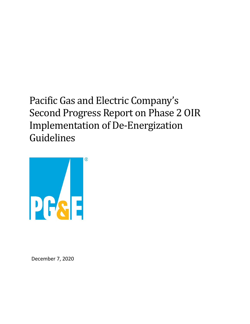Pacific Gas and Electric Company's Second Progress Report on Phase 2 OIR Implementation of De-Energization Guidelines



December 7, 2020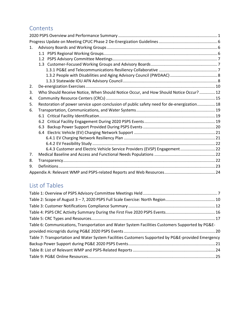# **Contents**

| 1. |                                                                                           |  |
|----|-------------------------------------------------------------------------------------------|--|
|    |                                                                                           |  |
|    |                                                                                           |  |
|    |                                                                                           |  |
|    |                                                                                           |  |
|    |                                                                                           |  |
|    |                                                                                           |  |
| 2. |                                                                                           |  |
| 3. | Who Should Receive Notice, When Should Notice Occur, and How Should Notice Occur?  12     |  |
| 4. |                                                                                           |  |
| 5. | Restoration of power service upon conclusion of public safety need for de-energization 18 |  |
| 6. |                                                                                           |  |
|    |                                                                                           |  |
|    | 6.2                                                                                       |  |
|    | 6.3                                                                                       |  |
|    |                                                                                           |  |
|    |                                                                                           |  |
|    |                                                                                           |  |
|    | 6.4.3 Customer and Electric Vehicle Service Providers (EVSP) Engagement 22                |  |
| 7. |                                                                                           |  |
| 8. |                                                                                           |  |
| 9. |                                                                                           |  |
|    |                                                                                           |  |

# List of Tables

| Table 6: Communications, Transportation and Water System Facilities Customers Supported by PG&E-   |
|----------------------------------------------------------------------------------------------------|
|                                                                                                    |
| Table 7: Transportation and Water System Facilities Customers Supported by PG&E-provided Emergency |
|                                                                                                    |
|                                                                                                    |
|                                                                                                    |
|                                                                                                    |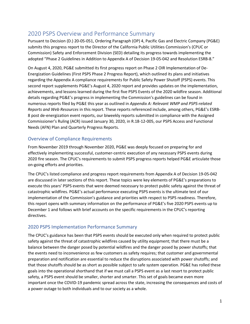# <span id="page-2-0"></span>2020 PSPS Overview and Performance Summary

Pursuant to Decision (D.) 20-05-051, Ordering Paragraph (OP) 4, Pacific Gas and Electric Company (PG&E) submits this progress report to the Director of the California Public Utilities Commission's (CPUC or Commission) Safety and Enforcement Division (SED) detailing its progress towards implementing the adopted "Phase 2 Guidelines in Addition to Appendix A of Decision 19-05-042 and Resolution ESRB-8."

On August 4, 2020, PG&E submitted its first progress report on Phase 2 OIR Implementation of De-Energization Guidelines (First PSPS Phase 2 Progress Report), which outlined its plans and initiatives regarding the Appendix A compliance requirements for Public Safety Power Shutoff (PSPS) events. This second report supplements PG&E's August 4, 2020 report and provides updates on the implementation, achievements, and lessons learned during the first five PSPS Events of the 2020 wildfire season. Additional details regarding PG&E's progress in implementing the Commission's guidelines can be found in numerous reports filed by PG&E this year as outlined in *[Appendix A: Relevant WMP and PSPS-related](#page-25-0)  [Reports and Web Resources](#page-25-0)* in this report. These reports referenced include, among others, PG&E's ESRB-8 post de-energization event reports, our biweekly reports submitted in compliance with the Assigned Commissioner's Ruling (ACR) issued January 30, 2020, in R.18-12-005, our PSPS Access and Functional Needs (AFN) Plan and Quarterly Progress Reports.

### Overview of Compliance Requirements

From November 2019 through November 2020, PG&E was deeply focused on preparing for and effectively implementing successful, customer-centric execution of any necessary PSPS events during 2020 fire season. The CPUC's requirements to submit PSPS progress reports helped PG&E articulate those on-going efforts and priorities.

The CPUC's listed compliance and progress report requirements from Appendix A of Decision 19-05-042 are discussed in later sections of this report. These topics were key elements of PG&E's preparations to execute this years' PSPS events that were deemed necessary to protect public safety against the threat of catastrophic wildfires. PG&E's actual performance executing PSPS events is the ultimate test of our implementation of the Commission's guidance and priorities with respect to PSPS readiness. Therefore, this report opens with summary information on the performance of PG&E's five 2020 PSPS events up to December 1 and follows with brief accounts on the specific requirements in the CPUC's reporting directives.

## 2020 PSPS Implementation Performance Summary

The CPUC's guidance has been that PSPS events should be executed only when required to protect public safety against the threat of catastrophic wildfires caused by utility equipment; that there must be a balance between the danger posed by potential wildfires and the danger posed by power shutoffs; that the events need to inconvenience as few customers as safety requires; that customer and governmental preparation and notification are essential to reduce the disruptions associated with power shutoffs; and that those shutoffs should be as short as possible subject to safe system operation. PG&E has rolled these goals into the operational shorthand that if we must call a PSPS event as a last resort to protect public safety, a PSPS event should be smaller, shorter and smarter. This set of goals became even more important once the COVID-19 pandemic spread across the state, increasing the consequences and costs of a power outage to both individuals and to our society as a whole.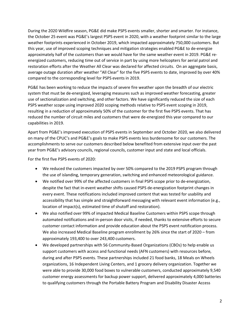During the 2020 Wildfire season, PG&E did make PSPS events smaller, shorter and smarter. For instance, the October 25 event was PG&E's largest PSPS event in 2020, with a weather footprint similar to the large weather footprints experienced in October 2019, which impacted approximately 750,000 customers. But this year, use of improved scoping techniques and mitigation strategies enabled PG&E to de-energize approximately half of the customers than we would have for the same weather event in 2019. PG&E reenergized customers, reducing time out of service in part by using more helicopters for aerial patrol and restoration efforts after the Weather All Clear was declared for affected circuits. On an aggregate basis, average outage duration after weather "All Clear" for the five PSPS events to date, improved by over 40% compared to the corresponding level for PSPS events in 2019.

PG&E has been working to reduce the impacts of severe fire weather upon the breadth of our electric system that must be de-energized, leveraging measures such as improved weather forecasting, greater use of sectionalization and switching, and other factors. We have significantly reduced the size of each PSPS weather scope using improved 2020 scoping methods relative to PSPS event scoping in 2019, resulting in a reduction of approximately 50% of the customer for the first five PSPS events. That has reduced the number of circuit miles and customers that were de-energized this year compared to our capabilities in 2019.

Apart from PG&E's improved execution of PSPS events in September and October 2020, we also delivered on many of the CPUC's and PG&E's goals to make PSPS events less burdensome for our customers. The accomplishments to serve our customers described below benefited from extensive input over the past year from PG&E's advisory councils, regional councils, customer input and state and local officials.

For the first five PSPS events of 2020:

- We reduced the customers impacted by over 50% compared to the 2019 PSPS program through the use of islanding, temporary generation, switching and enhanced meteorological guidance.
- We notified over 99% of the affected customers in final PSPS scope prior to de-energization, despite the fact that in-event weather shifts caused PSPS de-energization footprint changes in every event. These notifications included improved content that was tested for usability and accessibility that has simple and straightforward messaging with relevant event information (e.g., location of impact(s), estimated time of shutoff and restoration).
- We also notified over 99% of impacted Medical Baseline Customers within PSPS scope through automated notifications and in-person door visits, if needed, thanks to extensive efforts to secure customer contact information and provide education about the PSPS event notification process. We also increased Medical Baseline program enrollment by 26% since the start of 2020 – from approximately 193,400 to over 243,400 customers.
- We developed partnerships with 56 Community-Based Organizations (CBOs) to help enable us support customers with access and functional needs (AFN customers) with resources before, during and after PSPS events. These partnerships included 21 food banks, 18 Meals on Wheels organizations, 16 Independent Living Centers, and 1 grocery delivery organization. Together we were able to provide 30,000 food boxes to vulnerable customers, conducted approximately 9,540 customer energy assessments for backup power support, delivered approximately 4,000 batteries to qualifying customers through the Portable Battery Program and Disability Disaster Access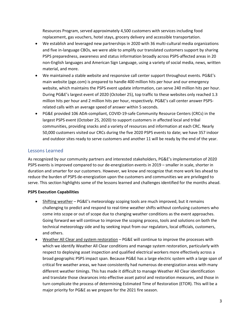Resources Program, served approximately 4,500 customers with services including food replacement, gas vouchers, hotel stays, grocery delivery and accessible transportation.

- We establish and leveraged new partnerships in 2020 with 36 multi-cultural media organizations and five in-language CBOs, we were able to amplify our translated customers support by sharing PSPS preparedness, awareness and status information broadly across PSPS-affected areas in 20 non-English languages and American Sign Language, using a variety of social media, news, written material, and more.
- We maintained a stable website and responsive call center support throughout events. PG&E's main website (pge.com) is prepared to handle 400 million hits per hour and our emergency website, which maintains the PSPS event update information, can serve 240 million hits per hour. During PG&E's largest event of 2020 (October 25), top traffic to these websites only reached 1.3 million hits per hour and 2 million hits per hour, respectively. PG&E's call center answer PSPSrelated calls with an average speed of answer within 5 seconds.
- PG&E provided 106 ADA-compliant, COVID-19-safe Community Resource Centers (CRCs) in the largest PSPS event (October 25, 2020) to support customers in affected local and tribal communities, providing snacks and a variety of resources and information at each CRC. Nearly 50,000 customers visited our CRCs during the five 2020 PSPS events to date; we have 357 indoor and outdoor sites ready to serve customers and another 11 will be ready by the end of the year.

### Lessons Learned

As recognized by our community partners and interested stakeholders, PG&E's implementation of 2020 PSPS events is improved compared to our de-energization events in 2019 – smaller in scale, shorter in duration and smarter for our customers. However, we know and recognize that more work lies ahead to reduce the burden of PSPS de-energization upon the customers and communities we are privileged to serve. This section highlights some of the lessons learned and challenges identified for the months ahead.

### **PSPS Execution Capabilities**

- Shifting weather PG&E's meteorology scoping tools are much improved, but it remains challenging to predict and respond to real-time weather shifts without confusing customers who come into scope or out of scope due to changing weather conditions as the event approaches. Going forward we will continue to improve the scoping process, tools and solutions on both the technical meteorology side and by seeking input from our regulators, local officials, customers, and others.
- Weather All Clear and system restoration PG&E will continue to improve the processes with which we identify Weather All Clear conditions and manage system restoration, particularly with respect to deploying asset inspection and qualified electrical workers more effectively across a broad geographic PSPS impact span. Because PG&E has a large electric system with a large span of critical fire weather areas, we have consistently had numerous de-energization areas with many different weather timings. This has made it difficult to manage Weather All Clear identification and translate those clearances into effective asset patrol and restoration measures, and those in turn complicate the process of determining Estimated Time of Restoration (ETOR). This will be a major priority for PG&E as we prepare for the 2021 fire season.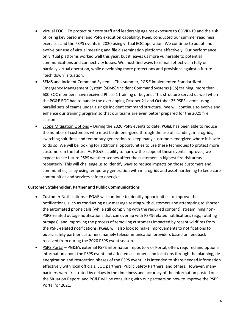- Virtual EOC To protect our core staff and leadership against exposure to COVID-19 and the risk of losing key personnel and PSPS execution capability, PG&E conducted our summer readiness exercises and the PSPS events in 2020 using virtual EOC operation. We continue to adapt and evolve our use of virtual meeting and file dissemination platforms effectively. Our performance on virtual platforms worked well this year, but it leaves us more vulnerable to potential communications and connectivity losses. We must find ways to remain effective in fully or partially virtual operation, while developing more protections and provisions against a future "tech down" situation.
- SEMS and Incident Command System This summer, PG&E implemented Standardized Emergency Management System (SEMS)/Incident Command Systems (ICS) training; more than 600 EOC members have received Phase 1 training or beyond. This structure served us well when the PG&E EOC had to handle the overlapping October 21 and October 25 PSPS events using parallel sets of teams under a single incident command structure. We will continue to evolve and enhance our training program so that our teams are even better prepared for the 2021 fire season.
- Scope Mitigation Options During the 2020 PSPS events to date, PG&E has been able to reduce the number of customers who must be de-energized through the use of islanding, microgrids, switching solutions and temporary generation to keep many customers energized where it is safe to do so. We will be looking for additional opportunities to use these techniques to protect more customers in the future. As PG&E's ability to narrow the scope of these events improves, we expect to see future PSPS weather scopes affect the customers in highest fire risk areas repeatedly. This will challenge us to identify ways to reduce impacts on those customers and communities, as by using temporary generation with microgrids and asset hardening to keep core communities and services safe to energize.

### **Customer, Stakeholder, Partner and Public Communications**

- Customer Notifications PG&E will continue to identify opportunities to improve the notifications, such as conducting new message testing with customers and attempting to shorten the automated phone calls (while still complying with the required content), streamlining non-PSPS-related outage notifications that can overlap with PSPS-related notifications (e.g., rotating outages), and improving the process of removing customers impacted by recent wildfires from the PSPS-related notifications. PG&E will also look to make improvements to notifications to public safety partner customers, namely telecommunication providers based on feedback received from during the 2020 PSPS event season.
- PSPS Portal PG&E's external PSPS information repository or Portal, offers required and optional information about the PSPS event and affected customers and locations through the planning, deenergization and restoration phases of the PSPS event. It is intended to share needed information effectively with local officials, EOC partners, Public Safety Partners, and others. However, many partners were frustrated by delays in the timeliness and accuracy of the information posted on the Situation Report, and PG&E will be consulting with our partners on how to improve the PSPS Portal for 2021.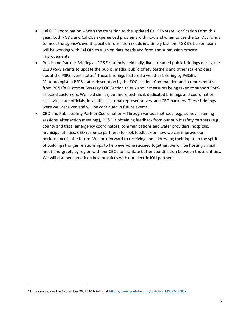- Cal OES Coordination -- With the transition to the updated Cal OES State Notification Form this year, both PG&E and Cal OES experienced problems with how and when to use the Cal OES forms to meet the agency's event-specific information needs in a timely fashion. PG&E's Liaison team will be working with Cal OES to align on data needs and form and submission process improvements.
- Public and Partner Briefings PG&E routinely held daily, live-streamed public briefings during the 2020 PSPS events to update the public, media, public safety partners and other stakeholders about the PSPS event status.<sup>[1](#page-6-0)</sup> These briefings featured a weather briefing by PG&E's Meteorologist, a PSPS status description by the EOC Incident Commander, and a representative from PG&E's Customer Strategy EOC Section to talk about measures being taken to support PSPSaffected customers. We held similar, but more technical, dedicated briefings and coordination calls with state officials, local officials, tribal representatives, and CBO partners. These briefings were well-received and will be continued in future events.
- CBO and Public Safety Partner Coordination Through various methods (e.g., survey, listening sessions, after action meetings), PG&E is obtaining feedback from our public safety partners (e.g., county and tribal emergency coordinators, communications and water providers, hospitals, municipal utilities, CBO resource partners) to seek feedback on how we can improve our performance in the future. We look forward to receiving and addressing their input. In the spirit of building stronger relationships to help everyone succeed together, we will be hosting virtual meet-and-greets by region with our CBOs to facilitate better coordination between those entities. We will also benchmark on best practices with our electric IOU partners.

<span id="page-6-0"></span><sup>1</sup> For example, see the September 26, 2020 briefing a[t https://www.youtube.com/watch?v=MWeZsubSl0k.](https://www.youtube.com/watch?v=MWeZsubSl0k)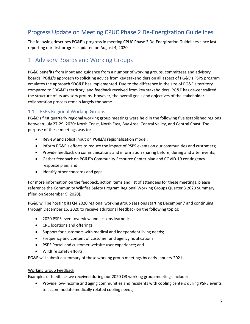# <span id="page-7-0"></span>Progress Update on Meeting CPUC Phase 2 De-Energization Guidelines

The following describes PG&E's progress in meeting CPUC Phase 2 De-Energization Guidelines since last reporting our first progress updated on August 4, 2020.

## <span id="page-7-1"></span>1. Advisory Boards and Working Groups

PG&E benefits from input and guidance from a number of working groups, committees and advisory boards. PG&E's approach to soliciting advice from key stakeholders on all aspect of PG&E's PSPS program emulates the approach SDG&E has implemented. Due to the difference in the size of PG&E's territory compared to SDG&E's territory, and feedback received from key stakeholders, PG&E has de-centralized the structure of its advisory groups. However, the overall goals and objectives of the stakeholder collaboration process remain largely the same.

## <span id="page-7-2"></span>1.1 PSPS Regional Working Groups

PG&E's first quarterly regional working group meetings were held in the following five established regions between July 27-29, 2020: North Coast, North East, Bay Area, Central Valley, and Central Coast. The purpose of these meetings was to:

- Review and solicit input on PG&E's regionalization model;
- Inform PG&E's efforts to reduce the impact of PSPS events on our communities and customers;
- Provide feedback on communications and information sharing before, during and after events;
- Gather feedback on PG&E's Community Resource Center plan and COVID-19 contingency response plan; and
- Identify other concerns and gaps.

For more information on the feedback, action items and list of attendees for these meetings, please reference the Community Wildfire Safety Program Regional Working Groups Quarter 3 2020 Summary (filed on September 9, 2020).

PG&E will be hosting its Q4 2020 regional working group sessions starting December 7 and continuing through December 16, 2020 to receive additional feedback on the following topics:

- 2020 PSPS event overview and lessons learned;
- CRC locations and offerings;
- Support for customers with medical and independent living needs;
- Frequency and content of customer and agency notifications;
- PSPS Portal and customer website user experience; and
- Wildfire safety efforts.

PG&E will submit a summary of these working group meetings by early January 2021.

### Working Group Feedback

Examples of feedback we received during our 2020 Q3 working group meetings include:

• Provide low-income and aging communities and residents with cooling centers during PSPS events to accommodate medically related cooling needs;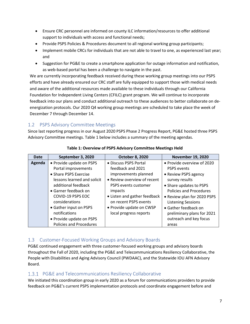- Ensure CRC personnel are informed on county ILC information/resources to offer additional support to individuals with access and functional needs;
- Provide PSPS Policies & Procedures document to all regional working group participants;
- Implement mobile CRCs for individuals that are not able to travel to one, as experienced last year; and
- Suggestion for PG&E to create a smartphone application for outage information and notification, as web-based portal has been a challenge to navigate in the past.

We are currently incorporating feedback received during these working group meetings into our PSPS efforts and have already ensured our CRC staff are fully equipped to support those with medical needs and aware of the additional resources made available to these individuals through our California Foundation for Independent Living Centers (CFILC) grant program. We will continue to incorporate feedback into our plans and conduct additional outreach to these audiences to better collaborate on deenergization protocols. Our 2020 Q4 working group meetings are scheduled to take place the week of December 7 through December 14.

## <span id="page-8-0"></span>1.2 PSPS Advisory Committee Meetings

Since last reporting progress in our August 2020 PSPS Phase 2 Progress Report, PG&E hosted three PSPS Advisory Committee meetings. [Table 1](#page-8-3) below includes a summary of the meeting agendas.

<span id="page-8-3"></span>

| Date   | September 3, 2020              | <b>October 8, 2020</b>       | <b>November 19, 2020</b>       |
|--------|--------------------------------|------------------------------|--------------------------------|
| Agenda | • Provide update on PSPS       | • Discuss PSPS Portal        | • Provide overview of 2020     |
|        | Portal improvements            | feedback and 2021            | <b>PSPS</b> events             |
|        | • Share PSPS Exercise          | improvements planned         | • Review PSPS agency           |
|        | lessons learned and solicit    | • Review overview of recent  | survey results                 |
|        | additional feedback            | PSPS events customer         | • Share updates to PSPS        |
|        | • Garner feedback on           | impacts                      | <b>Policies and Procedures</b> |
|        | COVID-19 PSPS EOC              | • Listen and gather feedback | • Review plan for 2020 PSPS    |
|        | considerations                 | on recent PSPS events        | <b>Listening Sessions</b>      |
|        | • Gather input on PSPS         | • Provide update on CWSP     | • Gather feedback on           |
|        | notifications                  | local progress reports       | preliminary plans for 2021     |
|        | • Provide update on PSPS       |                              | outreach and key focus         |
|        | <b>Policies and Procedures</b> |                              | areas                          |

**Table 1: Overview of PSPS Advisory Committee Meetings Held** 

## <span id="page-8-1"></span>1.3 Customer-Focused Working Groups and Advisory Boards

PG&E continued engagement with three customer-focused working groups and advisory boards throughout the Fall of 2020, including the PG&E and Telecommunications Resiliency Collaborative, the People with Disabilities and Aging Advisory Council (PWDAAC), and the Statewide IOU AFN Advisory Board.

## <span id="page-8-2"></span>1.3.1 PG&E and Telecommunications Resiliency Collaborative

We initiated this coordination group in early 2020 as a forum for communications providers to provide feedback on PG&E's current PSPS implementation protocols and coordinate engagement before and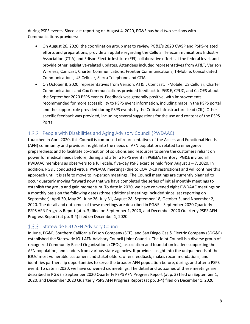during PSPS events. Since last reporting on August 4, 2020, PG&E has held two sessions with Communications providers:

- On August 26, 2020, the coordination group met to review PG&E's 2020 CWSP and PSPS-related efforts and preparations, provide an update regarding the Cellular Telecommunications Industry Association (CTIA) and Edison Electric Institute (EEI) collaborative efforts at the federal level, and provide other legislative-related updates. Attendees included representatives from AT&T, Verizon Wireless, Comcast, Charter Communications, Frontier Communications, T-Mobile, Consolidated Communications, US Cellular, Sierra Telephone and CTIA.
- On October 8, 2020, representatives from Verizon, AT&T, Comcast, T-Mobile, US Cellular, Charter Communications and Cox Communications provided feedback to PG&E, CPUC, and CalOES about the September 2020 PSPS events. Feedback was generally positive, with improvements recommended for more accessibility to PSPS event information, including maps in the PSPS portal and the support role provided during PSPS events by the Critical Infrastructure Lead (CIL). Other specific feedback was provided, including several suggestions for the use and content of the PSPS Portal.

## <span id="page-9-0"></span>1.3.2 People with Disabilities and Aging Advisory Council (PWDAAC)

Launched in April 2020, this Council is comprised of representatives of the Access and Functional Needs (AFN) community and provides insight into the needs of AFN populations related to emergency preparedness and to facilitate co‑creation of solutions and resources to serve the customers reliant on power for medical needs before, during and after a PSPS event in PG&E's territory. PG&E invited all PWDAAC members as observers to a full-scale, five-day PSPS exercise held from August 3 – 7, 2020. In addition, PG&E conducted virtual PWDAAC meetings (due to COVID-19 restrictions) and will continue this approach until it is safe to move to in-person meetings. The Council meetings are currently planned to occur quarterly moving forward now that we have completed the series of initial monthly meetings to establish the group and gain momentum. To date in 2020, we have convened eight PWDAAC meetings on a monthly basis on the following dates (three additional meetings included since last reporting on September): April 30, May 29, June 26, July 31, August 28, September 18, October 5, and November 2, 2020. The detail and outcomes of these meetings are described in PG&E's September 2020 Quarterly PSPS AFN Progress Report (at p. 3) filed on September 1, 2020, and December 2020 Quarterly PSPS AFN Progress Report (at pp. 3-4) filed on December 1, 2020.

### <span id="page-9-1"></span>1.3.3 Statewide IOU AFN Advisory Council

In June, PG&E, Southern California Edison Company (SCE), and San Diego Gas & Electric Company (SDG&E) established the Statewide IOU AFN Advisory Council (Joint Council). The Joint Council is a diverse group of recognized Community Based Organizations (CBOs), association and foundation leaders supporting the AFN population, and leaders from various state agencies. It provides insight into the unique needs of the IOUs' most vulnerable customers and stakeholders, offers feedback, makes recommendations, and identifies partnership opportunities to serve the broader AFN population before, during, and after a PSPS event. To date in 2020, we have convened six meetings. The detail and outcomes of these meetings are described in PG&E's September 2020 Quarterly PSPS AFN Progress Report (at p. 3) filed on September 1, 2020, and December 2020 Quarterly PSPS AFN Progress Report (at pp. 3-4) filed on December 1, 2020.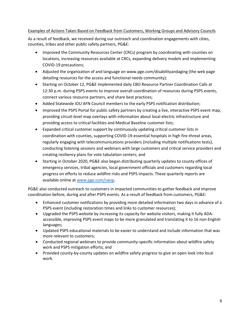### Examples of Actions Taken Based on Feedback from Customers, Working Groups and Advisory Councils

As a result of feedback, we received during our outreach and coordination engagements with cities, counties, tribes and other public safety partners, PG&E:

- Improved the Community Resources Center (CRCs) program by coordinating with counties on locations, increasing resources available at CRCs, expanding delivery models and implementing COVID-19 precautions;
- Adjusted the organization of and language on [www.pge.com/disabilityandaging](http://www.pge.com/disabilityandaging) (the web page detailing resources for the access and functional needs community);
- Starting on October 12, PG&E implemented daily CBO Resource Partner Coordination Calls at 12:30 p.m. during PSPS events to improve overall coordination of resources during PSPS events, connect various resource partners, and share best practices;
- Added Statewide IOU AFN Council members to the early PSPS notification distribution;
- Improved the PSPS Portal for public safety partners by creating a live, interactive PSPS event map, providing circuit-level map overlays with information about local electric infrastructure and providing access to critical facilities and Medical Baseline customer lists;
- Expanded critical customer support by continuously updating critical customer lists in coordination with counties, supporting COVID-19-essential hospitals in high fire-threat areas, regularly engaging with telecommunications providers (including multiple notifications tests), conducting listening sessions and webinars with large customers and critical service providers and creating resiliency plans for vote tabulation centers; and
- Starting in October 2020, PG&E also began distributing quarterly updates to county offices of emergency services, tribal agencies, local government officials and customers regarding local progress on efforts to reduce wildfire risks and PSPS impacts. These quarterly reports are available online at [www.pge.com/cwsp.](http://www.pge.com/cwsp)

PG&E also conducted outreach to customers in impacted communities to gather feedback and improve coordination before, during and after PSPS events. As a result of feedback from customers, PG&E:

- Enhanced customer notifications by providing more detailed information two days in advance of a PSPS event (including restoration times and links to customer resources);
- Upgraded the PSPS website by increasing its capacity for website visitors, making it fully ADAaccessible, improving PSPS event maps to be more granulated and translating it to 16 non-English languages;
- Updated PSPS educational materials to be easier to understand and include information that was more relevant to customers;
- Conducted regional webinars to provide community-specific information about wildfire safety work and PSPS mitigation efforts; and
- Provided county-by-county updates on wildfire safety progress to give an open look into local work.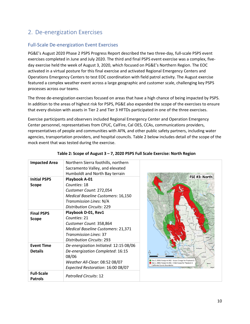# <span id="page-11-0"></span>2. De-energization Exercises

## Full-Scale De-energization Event Exercises

PG&E's August 2020 Phase 2 PSPS Progress Report described the two three-day, full-scale PSPS event exercises completed in June and July 2020. The third and final PSPS event exercise was a complex, fiveday exercise held the week of August 3, 2020, which focused on PG&E's Northern Region. The EOC activated in a virtual posture for this final exercise and activated Regional Emergency Centers and Operations Emergency Centers to test EOC coordination with field patrol activity. The August exercise featured a complex weather event across a large geographic and customer scale, challenging key PSPS processes across our teams.

The three de-energization exercises focused on areas that have a high chance of being impacted by PSPS. In addition to the areas of highest risk for PSPS, PG&E also expanded the scope of the exercises to ensure that every division with assets in Tier 2 and Tier 3 HFTDs participated in one of the three exercises.

Exercise participants and observers included Regional Emergency Center and Operation Emergency Center personnel, representatives from CPUC, CalFire, Cal OES, CCAs, communications providers, representatives of people and communities with AFN, and other public safety partners, including water agencies, transportation providers, and hospital councils. [Table 2](#page-11-1) below includes detail of the scope of the mock event that was tested during the exercise.

<span id="page-11-1"></span>

| <b>Impacted Area</b> | Northern Sierra foothills, northern       |                                                                                                                                                       |
|----------------------|-------------------------------------------|-------------------------------------------------------------------------------------------------------------------------------------------------------|
|                      | Sacramento Valley, and elevated           |                                                                                                                                                       |
|                      | Humboldt and North Bay terrain            |                                                                                                                                                       |
| <b>Initial PSPS</b>  | Playbook A-01                             | FSE #3: North                                                                                                                                         |
| Scope                | Counties: 18                              |                                                                                                                                                       |
|                      | Customer Count: 272,054                   |                                                                                                                                                       |
|                      | <b>Medical Baseline Customers: 16,150</b> |                                                                                                                                                       |
|                      | Transmission Lines: N/A                   |                                                                                                                                                       |
|                      | <b>Distribution Circuits: 229</b>         |                                                                                                                                                       |
| <b>Final PSPS</b>    | Playbook D-01, Rev1                       |                                                                                                                                                       |
| <b>Scope</b>         | Counties: 21                              |                                                                                                                                                       |
|                      | Customer Count: 358,864                   |                                                                                                                                                       |
|                      | <b>Medical Baseline Customers: 21,371</b> |                                                                                                                                                       |
|                      | <b>Transmission Lines: 37</b>             |                                                                                                                                                       |
|                      | <b>Distribution Circuits: 293</b>         |                                                                                                                                                       |
| <b>Event Time</b>    | De-energization Initiated: 12:15 08/06    | Calavery<br>Contra Costa                                                                                                                              |
| <b>Details</b>       | De-energization Completed: 16:15          | 100 missimeda                                                                                                                                         |
|                      | 08/06                                     | <b>Stanislas</b>                                                                                                                                      |
|                      | Weather All-Clear: 08:52 08/07            | Day 2, 0930: Footprint A02 - Scope Change for Playbook D<br>Day 1, 0800: Footprint A01 - Initial Scope for Playbook C<br>California County Boundaries |
|                      | Expected Restoration: 16:00 08/07         |                                                                                                                                                       |
| <b>Full-Scale</b>    | <b>Patrolled Circuits: 12</b>             |                                                                                                                                                       |
| <b>Patrols</b>       |                                           |                                                                                                                                                       |

### **Table 2: Scope of August 3 – 7, 2020 PSPS Full Scale Exercise: North Region**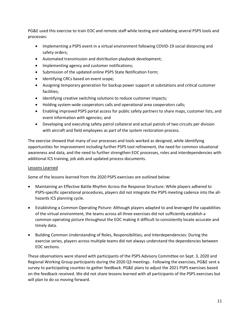PG&E used this exercise to train EOC and remote staff while testing and validating several PSPS tools and processes:

- Implementing a PSPS event in a virtual environment following COVID-19 social distancing and safety orders;
- Automated transmission and distribution playbook development;
- Implementing agency and customer notifications;
- Submission of the updated online PSPS State Notification Form;
- Identifying CRCs based on event scope;
- Assigning temporary generation for backup power support at substations and critical customer facilities;
- Identifying creative switching solutions to reduce customer impacts;
- Holding system-wide cooperators calls and operational area cooperators calls;
- Enabling improved PSPS portal access for public safety partners to share maps, customer lists, and event information with agencies; and
- Developing and executing safety patrol collateral and actual patrols of two circuits per division with aircraft and field employees as part of the system restoration process.

The exercise showed that many of our processes and tools worked as designed, while identifying opportunities for improvement including further PSPS tool refinement, the need for common situational awareness and data, and the need to further strengthen EOC processes, roles and interdependencies with additional ICS training, job aids and updated process documents.

### Lessons Learned

Some of the lessons learned from the 2020 PSPS exercises are outlined below:

- Maintaining an Effective Battle Rhythm Across the Response Structure: While players adhered to PSPS-specific operational procedures, players did not integrate the PSPS meeting cadence into the allhazards ICS planning cycle.
- Establishing a Common Operating Picture: Although players adapted to and leveraged the capabilities of the virtual environment, the teams across all three exercises did not sufficiently establish a common operating picture throughout the EOC making it difficult to consistently locate accurate and timely data.
- Building Common Understanding of Roles, Responsibilities, and Interdependencies: During the exercise series, players across multiple teams did not always understand the dependencies between EOC sections.

These observations were shared with participants of the PSPS Advisory Committee on Sept. 3, 2020 and Regional Working Group participants during the 2020 Q3 meetings. Following the exercises, PG&E sent a survey to participating counties to gather feedback. PG&E plans to adjust the 2021 PSPS exercises based on the feedback received. We did not share lessons learned with all participants of the PSPS exercises but will plan to do so moving forward.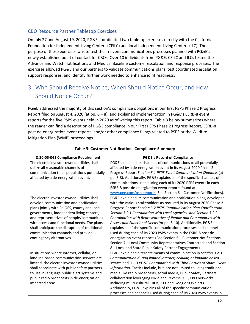## CBO Resource Partner Tabletop Exercises

On July 27 and August 19, 2020, PG&E coordinated two tabletop exercises directly with the California Foundation for Independent Living Centers (CFILC) and local Independent Living Centers (ILC). The purpose of these exercises was to test the in-event communications processes planned with PG&E's newly established point of contact for CBOs. Over 10 individuals from PG&E, CFILC and ILCs tested the Advance and Watch notifications and Medical Baseline customer escalation and response processes. The exercises allowed PG&E and our partners to validate communications plans, test coordinated escalation support responses, and identify further work needed to enhance joint readiness.

# <span id="page-13-0"></span>3. Who Should Receive Notice, When Should Notice Occur, and How Should Notice Occur?

PG&E addressed the majority of this section's compliance obligations in our first PSPS Phase 2 Progress Report filed on August 4, 2020 (at pp. 6 – 8), and explained implementation in PG&E's ESRB-8 event reports for the five PSPS events held in 2020 as of writing this report. [Table 3](#page-13-1) below summarizes where the reader can find a description of PG&E compliance in our First PSPS Phase 2 Progress Report, ESRB-8 post de-energization event reports, and/or other compliance filings related to PSPS or the Wildfire Mitigation Plan (WMP) proceedings.

<span id="page-13-1"></span>

| D.20-05-041 Compliance Requirement             | <b>PG&amp;E's Record of Compliance</b>                                  |
|------------------------------------------------|-------------------------------------------------------------------------|
| The electric investor-owned utilities shall    | PG&E explained its channels of communications to all potentially        |
| utilize all reasonable channels of             | affected by a de-energization event in its August 2020 Phase 2          |
| communication to all populations potentially   | Progress Report Section 3.1 PSPS Event Communication Channels (at       |
| affected by a de-energization event.           | pp. 6-8). Additionally, PG&E explains all of the specific channels of   |
|                                                | communications used during each of its 2020 PSPS events in each         |
|                                                | ESRB-8 post de-energization event reports found at                      |
|                                                | www.pge.com/pspsreports (See Section 6 – Customer Notifications).       |
| The electric investor-owned utilities shall    | PG&E explained its communication and notification plans, developed      |
| develop communication and notification         | with the various stakeholders as required in its August 2020 Phase 2    |
| plans jointly with CalOES, county and local    | Progress Report Section 3.2 PSPS Communication Plan Coordination,       |
| governments, independent living centers,       | Section 3.2.1 Coordination with Local Agencies, and Section 3.2.2       |
| and representatives of people/communities      | Coordination with Representative of People and Communities with         |
| with access and functional needs. The plans    | Access and Functional Needs (at pp. 8-10). Additionally, PG&E           |
| shall anticipate the disruption of traditional | explains all of the specific communication processes and channels       |
| communication channels and provide             | used during each of its 2020 PSPS events in the ESRB-8 post de-         |
| contingency alternatives.                      | energization event reports (See Section 6 - Customer Notifications,     |
|                                                | Section 7 - Local Community Representatives Contacted, and Section      |
|                                                | 8 - Local and State Public Safety Partner Engagement).                  |
| In situations where internet, cellular, or     | PG&E explained alternate means of communication in Section 3.2.3        |
| landline-based communication services are      | Communication during limited internet, cellular, or landline-based      |
| limited, the electric investor-owned utilities | service and 3.1.3 PG&E Coordination with Third Parties to Share Event   |
| shall coordinate with public safety partners   | Information. Tactics include, but, are not limited to using traditional |
| to use in-language public alert systems and    | media like radio broadcasts, social media, Public Safety Partners       |
| public radio broadcasts in de-energization     | collaboration leveraging Nixle and Reverse 911, CBO networks            |
| impacted areas.                                | including multi-cultural CBOs, 211 and Google SOS alerts.               |
|                                                | Additionally, PG&E explains all of the specific communication           |
|                                                | processes and channels used during each of its 2020 PSPS events in      |

### **Table 3: Customer Notifications Compliance Summary**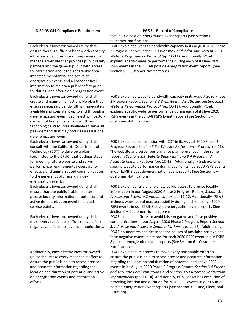| D.20-05-041 Compliance Requirement                                                          | <b>PG&amp;E's Record of Compliance</b>                                                                                                     |
|---------------------------------------------------------------------------------------------|--------------------------------------------------------------------------------------------------------------------------------------------|
|                                                                                             | the ESRB-8 post de-energization event reports (See Section 6 -                                                                             |
|                                                                                             | Customer Notifications).                                                                                                                   |
| Each electric investor-owned utility shall                                                  | PG&E explained website bandwidth capacity in its August 2020 Phase                                                                         |
| ensure there is sufficient bandwidth capacity,                                              | 2 Progress Report Section 3.3 Website Bandwidth, and Section 3.3.1                                                                         |
| either via a cloud service or on-premise, to                                                | Website Performance Protocol (pp. 10-11). Additionally, PG&E                                                                               |
| manage a website that provides public safety                                                | explains specific website performance during each of its five 2020                                                                         |
| partners and the general public with access                                                 | PSPS events in the ESRB-8 post de-energization event reports (See                                                                          |
| to information about the geographic areas                                                   | Section 6 - Customer Notifications).                                                                                                       |
| impacted by potential and active de-<br>energization events and all other critical          |                                                                                                                                            |
| information to maintain public safety prior                                                 |                                                                                                                                            |
| to, during, and after a de-energization event.                                              |                                                                                                                                            |
| Each electric investor-owned utility shall                                                  | PG&E explained website bandwidth capacity in its August 2020 Phase                                                                         |
| create and maintain an actionable plan that                                                 | 2 Progress Report, Section 3.3 Website Bandwidth, and Section 3.3.1                                                                        |
| ensures necessary bandwidth is immediately                                                  | Website Performance Protocol (pp. 10-11). Additionally, PG&E                                                                               |
| available and consistent up to and through a                                                | explains specific website performance during each of its five 2020                                                                         |
| de-energization event. Each electric investor-                                              | PSPS events in the ESRB-8 PSPS Event Reports (See Section 6 -                                                                              |
| owned utility shall have bandwidth and                                                      | Customer Notifications).                                                                                                                   |
| technological resources available to serve all                                              |                                                                                                                                            |
| peak demand that may occur as a result of a                                                 |                                                                                                                                            |
| de-energization event.                                                                      |                                                                                                                                            |
| Each electric investor-owned utility shall                                                  | PG&E explained consultation with CDT in its August 2020 Phase 2                                                                            |
| consult with the California Department of                                                   | Progress Report, Section 3.3.1 Website Performance Protocol (p. 11).                                                                       |
| Technology (CDT) to develop a plan                                                          | The website and server performance plan referenced in the same                                                                             |
| (submitted to the CPUC) that outlines steps                                                 | report in Sections 3.3 Website Bandwidth and 3.4 Precise and                                                                               |
| for meeting future website and server                                                       | Accurate Communications (pp. 10-12). Additionally, PG&E explains                                                                           |
| performance requirements necessary for<br>effective and uninterrupted communication         | specific website performance during each of its five 2020 PSPS events<br>in our ESRB-8 post de-energization event reports (See Section 6 - |
| to the general public regarding de-                                                         | Customer Notifications).                                                                                                                   |
| energization events.                                                                        |                                                                                                                                            |
| Each electric investor-owned utility shall                                                  | PG&E explained its plans to allow public access to precise locality                                                                        |
| ensure that the public is able to access                                                    | information in our August 2020 Phase 2 Progress Report, Section 3.4                                                                        |
| precise locality information of potential and                                               | Precise and Accurate Communications pp. 11-12. Additionally, PG&E                                                                          |
| active de-energization event impacted                                                       | includes website and map accessibility during each of its five 2020                                                                        |
| service points.                                                                             | PSPS events in our ESRB-8 post de-energization event reports (See                                                                          |
|                                                                                             | Section 6 - Customer Notifications).                                                                                                       |
| Each electric investor-owned utility shall                                                  | PG&E explained efforts to avoid false-negative and false positive                                                                          |
| make every reasonable effort to avoid false-                                                | communications in our August 2020 Phase 2 Progress Report Section                                                                          |
| negative and false-positive communications.                                                 | 3.4. Precise and Accurate Communications (pp. 11-12). Additionally,                                                                        |
|                                                                                             | PG&E enumerates and describes the causes of any false positive and                                                                         |
|                                                                                             | false negative communications for each 2020 PSPS event in our ESRB-                                                                        |
|                                                                                             | 8 post de-energization event reports (See Section 6 - Customer                                                                             |
|                                                                                             | Notifications).                                                                                                                            |
| Additionally, each electric investor-owned<br>utility shall make every reasonable effort to | PG&E explained its process to make every reasonable effort to<br>ensure the public is able to access precise and accurate information      |
| ensure the public is able to access precise                                                 | regarding the location and duration of potential and active PSPS                                                                           |
| and accurate information regarding the                                                      | events in its August 2020 Phase 2 Progress Report, Section 3.4 Precise                                                                     |
| location and duration of potential and active                                               | and Accurate Communications, and Section 3.5 Customer Notification                                                                         |
| de-energization events and restoration                                                      | Improvements (pp. 11-14). Additionally, PG&E describes execution of                                                                        |
| efforts.                                                                                    | providing location and duration for 2020 PSPS events in our ESRB-8                                                                         |
|                                                                                             | post de-energization event reports (See Section 3 - Time, Place, and                                                                       |
|                                                                                             | Duration).                                                                                                                                 |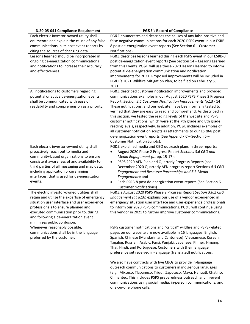| PG&E enumerates and describes the causes of any false positive and<br>Each electric investor-owned utility shall<br>false negative communications for each 2020 PSPS event in our ESRB-<br>enumerate and explain the cause of any false<br>8 post de-energization event reports (See Section 6 - Customer<br>communications in its post event reports by<br>citing the sources of changing data.<br>Notifications).<br>Lessons learned should be incorporated in<br>PG&E describes lessons learned during each PSPS event in our ESRB-8<br>ongoing de-energization communications<br>post de-energization event reports (See Section 14 - Lessons Learned<br>from this Event). PG&E will use these 2020 lessons learned to inform<br>and notifications to increase their accuracy<br>and effectiveness.<br>potential de-energization communication and notification<br>improvements for 2021. Proposed improvements will be included in<br>PG&E's 2021 Wildfire Mitigation Plan, to be filed on February 5,<br>2021.<br>All notifications to customers regarding<br>PG&E described customer notification improvements and provided<br>communications examples in our August 2020 PSPS Phase 2 Progress<br>potential or active de-energization events |
|------------------------------------------------------------------------------------------------------------------------------------------------------------------------------------------------------------------------------------------------------------------------------------------------------------------------------------------------------------------------------------------------------------------------------------------------------------------------------------------------------------------------------------------------------------------------------------------------------------------------------------------------------------------------------------------------------------------------------------------------------------------------------------------------------------------------------------------------------------------------------------------------------------------------------------------------------------------------------------------------------------------------------------------------------------------------------------------------------------------------------------------------------------------------------------------------------------------------------------------------------|
|                                                                                                                                                                                                                                                                                                                                                                                                                                                                                                                                                                                                                                                                                                                                                                                                                                                                                                                                                                                                                                                                                                                                                                                                                                                      |
|                                                                                                                                                                                                                                                                                                                                                                                                                                                                                                                                                                                                                                                                                                                                                                                                                                                                                                                                                                                                                                                                                                                                                                                                                                                      |
|                                                                                                                                                                                                                                                                                                                                                                                                                                                                                                                                                                                                                                                                                                                                                                                                                                                                                                                                                                                                                                                                                                                                                                                                                                                      |
|                                                                                                                                                                                                                                                                                                                                                                                                                                                                                                                                                                                                                                                                                                                                                                                                                                                                                                                                                                                                                                                                                                                                                                                                                                                      |
|                                                                                                                                                                                                                                                                                                                                                                                                                                                                                                                                                                                                                                                                                                                                                                                                                                                                                                                                                                                                                                                                                                                                                                                                                                                      |
|                                                                                                                                                                                                                                                                                                                                                                                                                                                                                                                                                                                                                                                                                                                                                                                                                                                                                                                                                                                                                                                                                                                                                                                                                                                      |
|                                                                                                                                                                                                                                                                                                                                                                                                                                                                                                                                                                                                                                                                                                                                                                                                                                                                                                                                                                                                                                                                                                                                                                                                                                                      |
|                                                                                                                                                                                                                                                                                                                                                                                                                                                                                                                                                                                                                                                                                                                                                                                                                                                                                                                                                                                                                                                                                                                                                                                                                                                      |
|                                                                                                                                                                                                                                                                                                                                                                                                                                                                                                                                                                                                                                                                                                                                                                                                                                                                                                                                                                                                                                                                                                                                                                                                                                                      |
|                                                                                                                                                                                                                                                                                                                                                                                                                                                                                                                                                                                                                                                                                                                                                                                                                                                                                                                                                                                                                                                                                                                                                                                                                                                      |
|                                                                                                                                                                                                                                                                                                                                                                                                                                                                                                                                                                                                                                                                                                                                                                                                                                                                                                                                                                                                                                                                                                                                                                                                                                                      |
|                                                                                                                                                                                                                                                                                                                                                                                                                                                                                                                                                                                                                                                                                                                                                                                                                                                                                                                                                                                                                                                                                                                                                                                                                                                      |
| shall be communicated with ease of<br>Report, Section 3.5 Customer Notification Improvements (p.13 - 14).                                                                                                                                                                                                                                                                                                                                                                                                                                                                                                                                                                                                                                                                                                                                                                                                                                                                                                                                                                                                                                                                                                                                            |
| readability and comprehension as a priority.<br>These notifications, and our website, have been formally tested to                                                                                                                                                                                                                                                                                                                                                                                                                                                                                                                                                                                                                                                                                                                                                                                                                                                                                                                                                                                                                                                                                                                                   |
| verified that they are easy to read and comprehend. As described in                                                                                                                                                                                                                                                                                                                                                                                                                                                                                                                                                                                                                                                                                                                                                                                                                                                                                                                                                                                                                                                                                                                                                                                  |
| this section, we tested the reading levels of the website and PSPS                                                                                                                                                                                                                                                                                                                                                                                                                                                                                                                                                                                                                                                                                                                                                                                                                                                                                                                                                                                                                                                                                                                                                                                   |
| customer notifications, which were at the 7th grade and 8th grade                                                                                                                                                                                                                                                                                                                                                                                                                                                                                                                                                                                                                                                                                                                                                                                                                                                                                                                                                                                                                                                                                                                                                                                    |
| reading levels, respectively. In addition, PG&E includes examples of                                                                                                                                                                                                                                                                                                                                                                                                                                                                                                                                                                                                                                                                                                                                                                                                                                                                                                                                                                                                                                                                                                                                                                                 |
| all customer notification scripts as attachments to our ESRB-8 post                                                                                                                                                                                                                                                                                                                                                                                                                                                                                                                                                                                                                                                                                                                                                                                                                                                                                                                                                                                                                                                                                                                                                                                  |
| de-energization event reports (See Appendix C - Section 6 -                                                                                                                                                                                                                                                                                                                                                                                                                                                                                                                                                                                                                                                                                                                                                                                                                                                                                                                                                                                                                                                                                                                                                                                          |
| <b>Customer Notification Scripts).</b>                                                                                                                                                                                                                                                                                                                                                                                                                                                                                                                                                                                                                                                                                                                                                                                                                                                                                                                                                                                                                                                                                                                                                                                                               |
| PG&E explained media and CBO outreach plans in three reports:<br>Each electric investor-owned utility shall                                                                                                                                                                                                                                                                                                                                                                                                                                                                                                                                                                                                                                                                                                                                                                                                                                                                                                                                                                                                                                                                                                                                          |
| proactively reach out to media and<br>August 2020 Phase 2 Progress Report Sections 3.6 CBO and<br>$\bullet$                                                                                                                                                                                                                                                                                                                                                                                                                                                                                                                                                                                                                                                                                                                                                                                                                                                                                                                                                                                                                                                                                                                                          |
| community-based organizations to ensure<br>Media Engagement (at pp. 15-17);                                                                                                                                                                                                                                                                                                                                                                                                                                                                                                                                                                                                                                                                                                                                                                                                                                                                                                                                                                                                                                                                                                                                                                          |
| consistent awareness of and availability to<br>PSPS 2020 AFN Plan and Quarterly Progress Reports (see<br>$\bullet$                                                                                                                                                                                                                                                                                                                                                                                                                                                                                                                                                                                                                                                                                                                                                                                                                                                                                                                                                                                                                                                                                                                                   |
| third parties of all messaging and map data,<br>December 2020 Quarterly AFN progress report Sections 4.3 CBO                                                                                                                                                                                                                                                                                                                                                                                                                                                                                                                                                                                                                                                                                                                                                                                                                                                                                                                                                                                                                                                                                                                                         |
| including application programming<br>Engagement and Resource Partnerships and 5.3 Media                                                                                                                                                                                                                                                                                                                                                                                                                                                                                                                                                                                                                                                                                                                                                                                                                                                                                                                                                                                                                                                                                                                                                              |
| interfaces, that is used for de-energization<br>Engagement); and                                                                                                                                                                                                                                                                                                                                                                                                                                                                                                                                                                                                                                                                                                                                                                                                                                                                                                                                                                                                                                                                                                                                                                                     |
| events.<br>Each ESRB-8 post de-energization event reports (See Section 6 -                                                                                                                                                                                                                                                                                                                                                                                                                                                                                                                                                                                                                                                                                                                                                                                                                                                                                                                                                                                                                                                                                                                                                                           |
| <b>Customer Notifications).</b>                                                                                                                                                                                                                                                                                                                                                                                                                                                                                                                                                                                                                                                                                                                                                                                                                                                                                                                                                                                                                                                                                                                                                                                                                      |
| The electric investor-owned utilities shall<br>PG&E's August 2020 PSPS Phase 2 Progress Report Section 3.6.2 CBO                                                                                                                                                                                                                                                                                                                                                                                                                                                                                                                                                                                                                                                                                                                                                                                                                                                                                                                                                                                                                                                                                                                                     |
| retain and utilize the expertise of emergency<br>Engagement (at p.16) explains our use of a vendor experienced in                                                                                                                                                                                                                                                                                                                                                                                                                                                                                                                                                                                                                                                                                                                                                                                                                                                                                                                                                                                                                                                                                                                                    |
| situation user interface and user experience<br>emergency situation user interface and user experience professionals                                                                                                                                                                                                                                                                                                                                                                                                                                                                                                                                                                                                                                                                                                                                                                                                                                                                                                                                                                                                                                                                                                                                 |
| professionals to ensure planned and<br>to inform our 2020 PSPS communications. PG&E will continue using                                                                                                                                                                                                                                                                                                                                                                                                                                                                                                                                                                                                                                                                                                                                                                                                                                                                                                                                                                                                                                                                                                                                              |
| executed communication prior to, during,<br>this vendor in 2021 to further improve customer communications.                                                                                                                                                                                                                                                                                                                                                                                                                                                                                                                                                                                                                                                                                                                                                                                                                                                                                                                                                                                                                                                                                                                                          |
| and following a de-energization event<br>minimizes public confusion.                                                                                                                                                                                                                                                                                                                                                                                                                                                                                                                                                                                                                                                                                                                                                                                                                                                                                                                                                                                                                                                                                                                                                                                 |
| PSPS customer notifications and "critical" wildfire and PSPS-related<br>Whenever reasonably possible,                                                                                                                                                                                                                                                                                                                                                                                                                                                                                                                                                                                                                                                                                                                                                                                                                                                                                                                                                                                                                                                                                                                                                |
| communications shall be in the language<br>pages on our website are now available in 16 languages: English,                                                                                                                                                                                                                                                                                                                                                                                                                                                                                                                                                                                                                                                                                                                                                                                                                                                                                                                                                                                                                                                                                                                                          |
| preferred by the customer.<br>Spanish, Chinese (Mandarin and Cantonese), Vietnamese, Korean,                                                                                                                                                                                                                                                                                                                                                                                                                                                                                                                                                                                                                                                                                                                                                                                                                                                                                                                                                                                                                                                                                                                                                         |
| Tagalog, Russian, Arabic, Farsi, Punjabi, Japanese, Khmer, Hmong,                                                                                                                                                                                                                                                                                                                                                                                                                                                                                                                                                                                                                                                                                                                                                                                                                                                                                                                                                                                                                                                                                                                                                                                    |
| Thai, Hindi, and Portuguese. Customers with their language                                                                                                                                                                                                                                                                                                                                                                                                                                                                                                                                                                                                                                                                                                                                                                                                                                                                                                                                                                                                                                                                                                                                                                                           |
| preference set received in-language (translated) notifications.                                                                                                                                                                                                                                                                                                                                                                                                                                                                                                                                                                                                                                                                                                                                                                                                                                                                                                                                                                                                                                                                                                                                                                                      |
|                                                                                                                                                                                                                                                                                                                                                                                                                                                                                                                                                                                                                                                                                                                                                                                                                                                                                                                                                                                                                                                                                                                                                                                                                                                      |
| We also have contracts with five CBOs to provide in-language                                                                                                                                                                                                                                                                                                                                                                                                                                                                                                                                                                                                                                                                                                                                                                                                                                                                                                                                                                                                                                                                                                                                                                                         |
| outreach communications to customers in indigenous languages                                                                                                                                                                                                                                                                                                                                                                                                                                                                                                                                                                                                                                                                                                                                                                                                                                                                                                                                                                                                                                                                                                                                                                                         |
| (e.g., Mixteco, Tlapaneco, Triqui, Zapoteco, Maya, Nahuatl, Chatino,                                                                                                                                                                                                                                                                                                                                                                                                                                                                                                                                                                                                                                                                                                                                                                                                                                                                                                                                                                                                                                                                                                                                                                                 |
| Chinantec. This includes PSPS preparedness outreach and in-event<br>communications using social media, in-person communications, and                                                                                                                                                                                                                                                                                                                                                                                                                                                                                                                                                                                                                                                                                                                                                                                                                                                                                                                                                                                                                                                                                                                 |
| one-on-one phone calls.                                                                                                                                                                                                                                                                                                                                                                                                                                                                                                                                                                                                                                                                                                                                                                                                                                                                                                                                                                                                                                                                                                                                                                                                                              |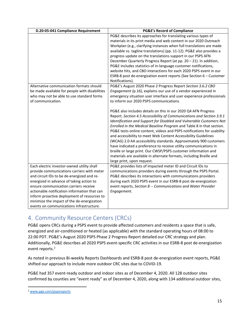| D.20-05-041 Compliance Requirement                                                                                                                                                                                                                                                                                                                                                                                   | <b>PG&amp;E's Record of Compliance</b>                                                                                                                                                                                                                                                                                                                                                                                                                                                                                                                                                                                                                                                                                                                |
|----------------------------------------------------------------------------------------------------------------------------------------------------------------------------------------------------------------------------------------------------------------------------------------------------------------------------------------------------------------------------------------------------------------------|-------------------------------------------------------------------------------------------------------------------------------------------------------------------------------------------------------------------------------------------------------------------------------------------------------------------------------------------------------------------------------------------------------------------------------------------------------------------------------------------------------------------------------------------------------------------------------------------------------------------------------------------------------------------------------------------------------------------------------------------------------|
|                                                                                                                                                                                                                                                                                                                                                                                                                      | PG&E describes its approaches for translating various types of<br>materials in its print media and web content in our 2020 Outreach<br>Workplan (e.g., clarifying instances when full translations are made<br>available vs. tagline translations) (pp. 11-12). PG&E also provides a<br>progress update on the translations support in our PSPS AFN<br>December Quarterly Progress Report (at pp. 20 - 21). In addition,<br>PG&E includes statistics of in-language customer notifications,<br>website hits, and CBO interactions for each 2020 PSPS event in our<br>ESRB-8 post de-energization event reports (See Section 6 - Customer<br>Notifications).                                                                                           |
| Alternative communication formats should<br>be made available for people with disabilities<br>who may not be able to use standard forms<br>of communication.                                                                                                                                                                                                                                                         | PG&E's August 2020 Phase 2 Progress Report Section 3.6.2 CBO<br>Engagement (p.16), explains our use of a vendor experienced in<br>emergency situation user interface and user experience professionals<br>to inform our 2020 PSPS communications.                                                                                                                                                                                                                                                                                                                                                                                                                                                                                                     |
|                                                                                                                                                                                                                                                                                                                                                                                                                      | PG&E also includes details on this in our 2020 Q4 AFN Progress<br>Report, Section 4.5 Accessibility of Communications and Section 3.9.1<br>Identification and Support for Disabled and Vulnerable Customers Not<br>Enrolled in the Medical Baseline Program and Table 8 in that section.<br>PG&E tests online content, videos and PSPS notifications for usability<br>and accessibility to meet Web Content Accessibility Guidelines<br>(WCAG) 2.0 AA accessibility standards. Approximately 900 customers<br>have indicated a preference to receive utility communications in<br>braille or large print. Our CWSP/PSPS customer information and<br>materials are available in alternate formats, including Braille and<br>large print, upon request. |
| Each electric investor-owned utility shall<br>provide communications carriers with meter<br>and circuit IDs to be de-energized and re-<br>energized in advance of taking action to<br>ensure communication carriers receive<br>actionable notification information that can<br>inform proactive deployment of resources to<br>minimize the impact of the de-energization<br>events on communications infrastructure. | PG&E provides lists of impacted meter ID and Circuit IDs to<br>communications providers during events through the PSPS Portal.<br>PG&E describes its interactions with communications providers<br>during each 2020 PSPS event in our ESRB-8 post de-energization<br>event reports, Section 8 -- Communications and Water Provider<br>Engagement.                                                                                                                                                                                                                                                                                                                                                                                                     |

# <span id="page-16-0"></span>4. Community Resource Centers (CRCs)

PG&E opens CRCs during a PSPS event to provide affected customers and residents a space that is safe, energized and air-conditioned or heated (as applicable) with the standard operating hours of 08:00 to 22:00 PDT. PG&E's August 2020 PSPS Phase 2 Progress Report detailed our CRC strategy and plan. Additionally, PG&E describes all 2020 PSPS event-specific CRC activities in our ESRB-8 post de-energization event reports. [2](#page-16-1)

As noted in previous Bi-weekly Reports Dashboards and ESRB-8 post de-energization event reports, PG&E shifted our approach to include more outdoor CRC sites due to COVID-19.

PG&E had 357 event-ready outdoor and indoor sites as of December 4, 2020. All 128 outdoor sites confirmed by counties are "event ready" as of December 4, 2020, along with 134 additional outdoor sites,

<span id="page-16-1"></span><sup>2</sup> [www.pge.com/pspsreports](http://www.pge.com/pspsreports)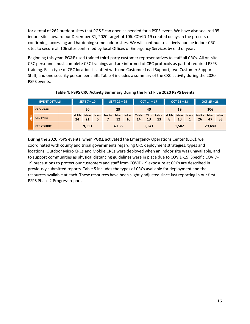for a total of 262 outdoor sites that PG&E can open as needed for a PSPS event. We have also secured 95 indoor sites toward our December 31, 2020 target of 106. COVID-19 created delays in the process of confirming, accessing and hardening some indoor sites. We will continue to actively pursue indoor CRC sites to secure all 106 sites confirmed by local Offices of Emergency Services by end of year.

Beginning this year, PG&E used trained third-party customer representatives to staff all CRCs. All on-site CRC personnel must complete CRC trainings and are informed of CRC protocols as part of required PSPS training. Each type of CRC location is staffed with one Customer Lead Support, two Customer Support Staff, and one security person per shift. [Table 4](#page-17-0) includes a summary of the CRC activity during the 2020 PSPS events.

<span id="page-17-0"></span>

|    | <b>EVENT DETAILS</b> |                     | SEPT $7 - 10$      |        |               | <b>SEPT 27-29</b>  |              |                     | OCT $14 - 17$      |              |                    | $OCT 21 - 23$      |        |                     | OCT $25 - 28$      |              |
|----|----------------------|---------------------|--------------------|--------|---------------|--------------------|--------------|---------------------|--------------------|--------------|--------------------|--------------------|--------|---------------------|--------------------|--------------|
|    | <b>CRCs OPEN</b>     |                     | 50                 |        |               | 29                 |              |                     | 40                 |              |                    | 19                 |        |                     | 106                |              |
| CS | <b>CRC TYPES</b>     | <b>Mobile</b><br>24 | <b>Micro</b><br>21 | Indoor | <b>Mobile</b> | <b>Micro</b><br>12 | Indoor<br>10 | <b>Mobile</b><br>14 | <b>Micro</b><br>13 | Indoor<br>13 | <b>Mobile</b><br>8 | <b>Micro</b><br>10 | Indoor | <b>Mobile</b><br>26 | <b>Micro</b><br>47 | Indoor<br>33 |
|    | <b>CRC VISITORS</b>  | 9,113               |                    | 4,135  |               | 5,541              |              | 1,502               |                    | 29,480       |                    |                    |        |                     |                    |              |

**Table 4: PSPS CRC Activity Summary During the First Five 2020 PSPS Events**

During the 2020 PSPS events, when PG&E activated the Emergency Operations Center (EOC), we coordinated with county and tribal governments regarding CRC deployment strategies, types and locations. Outdoor Micro CRCs and Mobile CRCs were deployed when an indoor site was unavailable, and to support communities as physical distancing guidelines were in place due to COVID-19. Specific COVID-19 precautions to protect our customers and staff from COVID-19 exposure at CRCs are described in previously submitted reports. [Table 5](#page-18-0) includes the types of CRCs available for deployment and the resources available at each. These resources have been slightly adjusted since last reporting in our first PSPS Phase 2 Progress report.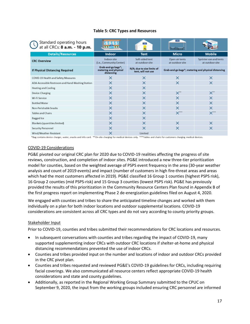### **Table 5: CRC Types and Resources**

<span id="page-18-0"></span>

| Standard operating hours<br>at all CRCs: 8 a.m. - 10 p.m. |                                                           | <b>CRC</b>                                       | <b>CRC</b>                        |                                                                  |
|-----------------------------------------------------------|-----------------------------------------------------------|--------------------------------------------------|-----------------------------------|------------------------------------------------------------------|
| <b>Details/Resources</b>                                  | <b>Indoor</b>                                             | <b>Tent</b>                                      | Micro                             | <b>Mobile</b>                                                    |
| <b>CRC Overview</b>                                       | Indoor site<br>(i.e., Community Center)                   | Soft-sided tent<br>at outdoor site               | Open air tents<br>at outdoor site | Sprinter van and tents<br>at outdoor site                        |
| If Physical Distancing Required                           | Grab-and-go bags*;<br>metering and physical<br>distancing | N/A; due to size limits of<br>tent, will not use |                                   | Grab-and-go bags <sup>*</sup> ; metering and physical distancing |
| COVID-19 Health and Safety Measures                       | ×                                                         | $\times$                                         | $\times$                          | ×                                                                |
| ADA-Accessible Restroom and Hand-Washing Station          | ×                                                         | $\times$                                         | $\times$                          | ×                                                                |
| Heating and Cooling                                       | $\times$                                                  | $\times$                                         |                                   |                                                                  |
| Device Charging                                           | ×                                                         | $\times$                                         | X"                                | $\times$ $^{\circ}$                                              |
| Wi-Fi Service                                             | ×                                                         | $\times$                                         | $\times$                          | ×                                                                |
| <b>Bottled Water</b>                                      | ×                                                         | $\times$                                         | $\times$                          | ×                                                                |
| Non-Perishable Snacks                                     | $\times$                                                  | $\times$                                         | $\times$                          | ×                                                                |
| <b>Tables and Chairs</b>                                  | $\times$                                                  | $\times$                                         | $X^{\ast\ast}$                    | $\mathsf{X}^{\ast\ast\ast}$                                      |
| Bagged Ice                                                | $\times$                                                  | $\times$                                         |                                   |                                                                  |
| Blankets (quantities limited)                             | $\times$                                                  | $\times$                                         | $\times$                          | $\times$                                                         |
| Security Personnel                                        | ×                                                         | $\times$                                         | $\times$                          | ×                                                                |
| Wind/Weather-Resistant                                    | ×                                                         | Limited                                          |                                   |                                                                  |

\*Bag contains device charger, water, snacks and info card. \*\*On-site charging for medical devices only. \*\*\*Tables and chairs for customers charging medical devices.

### COVID-19 Considerations

PG&E pivoted our original CRC plan for 2020 due to COVID-19 realities affecting the progress of site reviews, construction, and completion of indoor sites. PG&E introduced a new three-tier prioritization model for counties, based on the weighted average of PSPS event frequency in the area (30-year weather analysis and count of 2019 events) and impact (number of customers in high fire-threat areas and areas which had the most customers affected in 2019). PG&E classified 16 Group 1 counties (highest PSPS risk), 16 Group 2 counties (mid PSPS-risk) and 15 Group 3 counties (lowest PSPS risk). PG&E has previously provided the results of this prioritization in the Community Resource Centers Plan found in Appendix B of the first progress report on implementing Phase 2 de-energization guidelines filed on August 4, 2020.

We engaged with counties and tribes to share the anticipated timeline changes and worked with them individually on a plan for both indoor locations and outdoor supplemental locations. COVID-19 considerations are consistent across all CRC types and do not vary according to county priority groups.

### Stakeholder Input

Prior to COVID-19, counties and tribes submitted their recommendations for CRC locations and resources.

- In subsequent conversations with counties and tribes regarding the impact of COVID-19, many supported supplementing indoor CRCs with outdoor CRC locations if shelter-at-home and physical distancing recommendations prevented the use of indoor CRCs.
- Counties and tribes provided input on the number and locations of indoor and outdoor CRCs provided in the CRC pivot plan.
- Counties and tribes requested and reviewed PG&E's COVID-19 guidelines for CRCs, including requiring facial coverings. We also communicated all resource centers reflect appropriate COVID-19 health considerations and state and county guidelines.
- Additionally, as reported in the Regional Working Group Summary submitted to the CPUC on September 9, 2020, the input from the working groups included ensuring CRC personnel are informed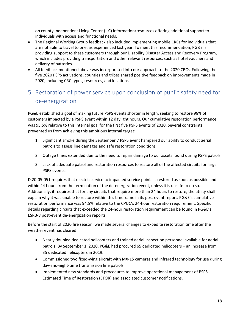on county Independent Living Center (ILC) information/resources offering additional support to individuals with access and functional needs.

- The Regional Working Group feedback also included implementing mobile CRCs for individuals that are not able to travel to one, as experienced last year. To meet this recommendation, PG&E is providing support to these customers through our Disability Disaster Access and Recovery Program, which includes providing transportation and other relevant resources, such as hotel vouchers and delivery of batteries.
- All feedback mentioned above was incorporated into our approach to the 2020 CRCs. Following the five 2020 PSPS activations, counties and tribes shared positive feedback on improvements made in 2020, including CRC types, resources, and locations

# <span id="page-19-0"></span>5. Restoration of power service upon conclusion of public safety need for de-energization

PG&E established a goal of making future PSPS events shorter in length, seeking to restore 98% of customers impacted by a PSPS event within 12 daylight hours. Our cumulative restoration performance was 95.5% relative to this internal goal for the first five PSPS events of 2020. Several constraints prevented us from achieving this ambitious internal target:

- 1. Significant smoke during the September 7 PSPS event hampered our ability to conduct aerial patrols to assess line damages and safe restoration conditions
- 2. Outage times extended due to the need to repair damage to our assets found during PSPS patrols
- 3. Lack of adequate patrol and restoration resources to restore all of the affected circuits for large PSPS events.

D.20-05-051 requires that electric service to impacted service points is restored as soon as possible and within 24 hours from the termination of the de-energization event, unless it is unsafe to do so. Additionally, it requires that for any circuits that require more than 24 hours to restore, the utility shall explain why it was unable to restore within this timeframe in its post event report. PG&E's cumulative restoration performance was 94.5% relative to the CPUC's 24-hour restoration requirement. Specific details regarding circuits that exceeded the 24-hour restoration requirement can be found in PG&E's ESRB-8 post-event de-energization reports.

Before the start of 2020 fire season, we made several changes to expedite restoration time after the weather event has cleared:

- Nearly doubled dedicated helicopters and trained aerial inspection personnel available for aerial patrols. By September 1, 2020, PG&E had procured 65 dedicated helicopters – an increase from 35 dedicated helicopters in 2019.
- Commissioned two fixed-wing aircraft with MX-15 cameras and infrared technology for use during day-and-night-time transmission line patrols.
- Implemented new standards and procedures to improve operational management of PSPS Estimated Time of Restoration (ETOR) and associated customer notifications.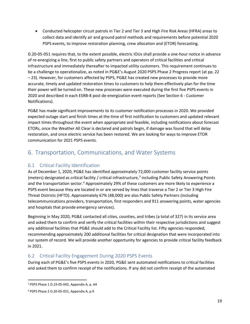• Conducted helicopter circuit patrols in Tier 2 and Tier 3 and High Fire Risk Areas (HFRA) areas to collect data and identify air and ground patrol methods and requirements before potential 2020 PSPS events, to improve restoration planning, crew allocation and (ETOR) forecasting.

D.20-05-051 requires that, to the extent possible, electric IOUs shall provide a one-hour notice in advance of re-energizing a line, first to public safety partners and operators of critical facilities and critical infrastructure and immediately thereafter to impacted utility customers. This requirement continues to be a challenge to operationalize, as noted in PG&E's August 2020 PSPS Phase 2 Progress report (at pp. 22 – 23). However, for customers affected by PSPS, PG&E has created new processes to provide more accurate, timely and updated restoration times to customers to help them effectively plan for the time their power will be turned on. These new processes were executed during the first five PSPS events in 2020 and described in each ESRB-8 post de-energization event reports (See Section 6 - Customer Notifications).

PG&E has made significant improvements to its customer notification processes in 2020. We provided expected outage start and finish times at the time of first notification to customers and updated relevant impact times throughout the event when appropriate and feasible, including notifications about forecast ETORs, once the Weather All Clear is declared and patrols begin, if damage was found that will delay restoration, and once electric service has been restored. We are looking for ways to improve ETOR communication for 2021 PSPS events.

## <span id="page-20-0"></span>6. Transportation, Communications, and Water Systems

## <span id="page-20-1"></span>6.1 Critical Facility Identification

As of December 1, 2020, PG&E has identified approximately 72,000 customer facility service points (meters) designated as critical facility / critical infrastructure, [3](#page-20-3) including Public Safety Answering Points and the transportation sector.<sup>[4](#page-20-4)</sup> Approximately 29% of these customers are more likely to experience a PSPS event because they are located in or are served by lines that traverse a Tier 2 or Tier 3 High Fire Threat Districts (HFTD). Approximately 67% (48,000) are also Public Safety Partners (including telecommunications providers, transportation, first responders and 911 answering points, water agencies and hospitals that provide emergency services).

Beginning in May 2020, PG&E contacted all cities, counties, and tribes (a total of 327) in its service area and asked them to confirm and verify the critical facilities within their respective jurisdictions and suggest any additional facilities that PG&E should add to the Critical Facility list. Fifty agencies responded, recommending approximately 200 additional facilities for critical designation that were incorporated into our system of record. We will provide another opportunity for agencies to provide critical facility feedback in 2021.

## <span id="page-20-2"></span>6.2 Critical Facility Engagement During 2020 PSPS Events

During each of PG&E's five PSPS events in 2020, PG&E sent automated notifications to critical facilities and asked them to confirm receipt of the notifications. If any did not confirm receipt of the automated

<span id="page-20-3"></span><sup>3</sup> PSPS Phase 1 D.19-05-042, Appendix A, p. A4

<span id="page-20-4"></span><sup>4</sup> PSPS Phase 2 D.20-05-051, Appendix A, p.9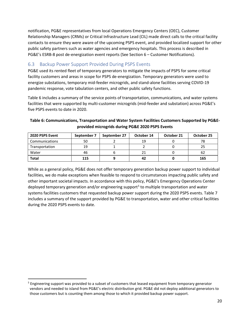notification, PG&E representatives from local Operations Emergency Centers (OEC), Customer Relationship Managers (CRMs) or Critical Infrastructure Lead (CIL) made direct calls to the critical facility contacts to ensure they were aware of the upcoming PSPS event, and provided localized support for other public safety partners such as water agencies and emergency hospitals. This process is described in PG&E's ESRB-8 post de-energization event reports (See Section 6 – Customer Notifications).

## <span id="page-21-0"></span>6.3 Backup Power Support Provided During PSPS Events

PG&E used its rented fleet of temporary generators to mitigate the impacts of PSPS for some critical facility customers and areas in scope for PSPS de-energization. Temporary generators were used to energize substations, temporary mid-feeder microgrids, and stand-alone facilities serving COVID-19 pandemic response, vote tabulation centers, and other public safety functions.

[Table 6](#page-21-1) includes a summary of the service points of transportation, communications, and water systems facilities that were supported by multi-customer microgrids (mid-feeder and substation) across PG&E's five PSPS events to date in 2020.

## <span id="page-21-1"></span>**Table 6: Communications, Transportation and Water System Facilities Customers Supported by PG&Eprovided microgrids during PG&E 2020 PSPS Events**

| 2020 PSPS Event | September 7 | September 27 | October 14 | October 21 | October 25 |
|-----------------|-------------|--------------|------------|------------|------------|
| Communications  | 50          |              | 19         |            |            |
| Transportation  | 19          |              |            |            |            |
| Water           | 46          |              |            |            | -62        |
| <b>Total</b>    | 115         |              | 42         |            | 165        |

While as a general policy, PG&E does not offer temporary generation backup power support to individual facilities, we do make exceptions when feasible to respond to circumstances impacting public safety and other important societal impacts. In accordance with this policy, PG&E's Emergency Operations Center deployed temporary generation and/or engineering support<sup>[5](#page-21-2)</sup> to multiple transportation and water systems facilities customers that requested backup power support during the 2020 PSPS events. [Table 7](#page-22-2) includes a summary of the support provided by PG&E to transportation, water and other critical facilities during the 2020 PSPS events to date.

<span id="page-21-2"></span><sup>&</sup>lt;sup>5</sup> Engineering support was provided to a subset of customers that leased equipment from temporary generator vendors and needed to island from PG&E's electric distribution grid. PG&E did not deploy additional generators to those customers but is counting them among those to which it provided backup power support.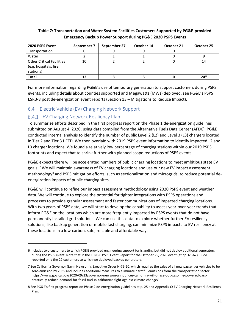### <span id="page-22-2"></span>**Table 7: Transportation and Water System Facilities Customers Supported by PG&E-provided Emergency Backup Power Support during PG&E 2020 PSPS Events**

| 2020 PSPS Event                                                        | September 7 | September 27 | October 14 | October 21 | October 25 |
|------------------------------------------------------------------------|-------------|--------------|------------|------------|------------|
| Transportation                                                         |             |              |            |            |            |
| Water                                                                  |             |              |            |            |            |
| <b>Other Critical Facilities</b><br>(e.g. hospitals, fire<br>stations) | 10          |              |            |            | 14         |
| <b>Total</b>                                                           |             |              |            |            | $24^{6}$   |

For more information regarding PG&E's use of temporary generation to support customers during PSPS events, including details about counties supported and Megawatts (MWs) deployed, see PG&E's PSPS ESRB-8 post de-energization event reports (Section 13 – Mitigations to Reduce Impact).

## <span id="page-22-0"></span>6.4 Electric Vehicle (EV) Charging Network Support

## <span id="page-22-1"></span>6.4.1 EV Charging Network Resiliency Plan

To summarize efforts described in the first progress report on the Phase 1 de-energization guidelines submitted on August 4, 2020, using data compiled from the Alternative Fuels Data Center (AFDC), PG&E conducted internal analysis to identify the number of public Level 2 (L2) and Level 3 (L3) chargers located in Tier 2 and Tier 3 HFTD. We then overlaid with 2019 PSPS event information to identify impacted L2 and L3 charger locations. We found a relatively low percentage of charging stations within our 2019 PSPS footprints and expect that to shrink further with planned scope reductions of PSPS events.

PG&E expects there will be accelerated numbers of public charging locations to meet ambitious state EV goals.<sup>[7](#page-22-4)</sup> We will maintain awareness of EV charging locations and use our new EV impact assessment methodology<sup>[8](#page-22-5)</sup> and PSPS mitigation efforts, such as sectionalization and microgrids, to reduce potential deenergization impacts of public charging sites.

PG&E will continue to refine our impact assessment methodology using 2020 PSPS event and weather data. We will continue to explore the potential for tighter integrations with PSPS operations and processes to provide granular assessment and faster communications of impacted charging locations. With two years of PSPS data, we will start to develop the capability to assess year-over-year trends that inform PG&E on the locations which are more frequently impacted by PSPS events that do not have permanently installed grid solutions. We can use this data to explore whether further EV resiliency solutions, like backup generation or mobile fast charging, can minimize PSPS impacts to EV resiliency at these locations in a low-carbon, safe, reliable and affordable way.

<span id="page-22-3"></span><sup>6</sup> Includes two customers to which PG&E provided engineering support for islanding but did not deploy additional generators during the PSPS event. Note that in the ESRB-8 PSPS Event Report for the October 25, 2020 event (at pp. 61-62), PG&E reported only the 22 customers to which we deployed backup generators.

<span id="page-22-4"></span><sup>7</sup> See California Governor Gavin Newsom's Executive Order N-79-20, which requires the sales of all new passenger vehicles to be zero-emission by 2035 and includes additional measures to eliminate harmful emissions from the transportation sector. [https://www.gov.ca.gov/2020/09/23/governor-newsom-announces-california-will-phase-out-gasoline-powered-cars](https://www.gov.ca.gov/2020/09/23/governor-newsom-announces-california-will-phase-out-gasoline-powered-cars-drastically-reduce-demand-for-fossil-fuel-in-californias-fight-against-climate-change/)[drastically-reduce-demand-for-fossil-fuel-in-californias-fight-against-climate-change/](https://www.gov.ca.gov/2020/09/23/governor-newsom-announces-california-will-phase-out-gasoline-powered-cars-drastically-reduce-demand-for-fossil-fuel-in-californias-fight-against-climate-change/)

<span id="page-22-5"></span><sup>8</sup> See PG&E's first progress report on Phase 2 de-energization guidelines at p. 25 and Appendix C: EV Charging Network Resiliency Plan.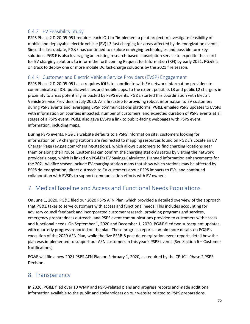## <span id="page-23-0"></span>6.4.2 EV Feasibility Study

PSPS Phase 2 D.20-05-051 requires each IOU to "implement a pilot project to investigate feasibility of mobile and deployable electric vehicle (EV) L3 fast charging for areas affected by de-energization events." Since the last update, PG&E has continued to explore emerging technologies and possible turn-key solutions. PG&E is also leveraging an existing research-based subscription service to expedite the search for EV charging solutions to inform the forthcoming Request for Information (RFI) by early 2021. PG&E is on track to deploy one or more mobile DC fast-charge solutions by the 2021 fire season.

## <span id="page-23-1"></span>6.4.3 Customer and Electric Vehicle Service Providers (EVSP) Engagement

PSPS Phase 2 D.20-05-051 also requires IOUs to coordinate with EV network information providers to communicate on IOU public websites and mobile apps, to the extent possible, L3 and public L2 chargers in proximity to areas potentially impacted by PSPS events. PG&E started this coordination with Electric Vehicle Service Providers in July 2020. As a first step to providing robust information to EV customers during PSPS events and leveraging EVSP communications platforms, PG&E emailed PSPS updates to EVSPs with information on counties impacted, number of customers, and expected duration of PSPS events at all stages of a PSPS event. PG&E also gave EVSPs a link to public-facing webpages with PSPS event information, including maps.

During PSPS events, PG&E's website defaults to a PSPS information site; customers looking for information on EV charging stations are redirected to mapping resources found on PG&E's Locate an EV Charger Page [\(ev.pge.com/charging-stations\)](https://ev.pge.com/charging-stations), which allows customers to find charging locations near them or along their route. Customers can confirm the charging station's status by visiting the network provider's page, which is linked on PG&E's EV Savings Calculator. Planned information enhancements for the 2021 wildfire season include EV charging station maps that show which stations may be affected by PSPS de-energization, direct outreach to EV customers about PSPS impacts to EVs, and continued collaboration with EVSPs to support communication efforts with EV owners.

# <span id="page-23-2"></span>7. Medical Baseline and Access and Functional Needs Populations

On June 1, 2020, PG&E filed our 2020 PSPS AFN Plan, which provided a detailed overview of the approach that PG&E takes to serve customers with access and functional needs. This includes accounting for advisory council feedback and incorporated customer research, providing programs and services, emergency preparedness outreach, and PSPS event communications provided to customers with access and functional needs. On September 1, 2020 and December 1, 2020, PG&E filed two subsequent updates with quarterly progress reported on the plan. These progress reports contain more details on PG&E's execution of the 2020 AFN Plan, while the five ESRB-8 post de-energization event reports detail how the plan was implemented to support our AFN customers in this year's PSPS events (See Section 6 – Customer Notifications).

PG&E will file a new 2021 PSPS AFN Plan on February 1, 2020, as required by the CPUC's Phase 2 PSPS Decision.

## <span id="page-23-3"></span>8. Transparency

In 2020, PG&E filed over 10 WMP and PSPS-related plans and progress reports and made additional information available to the public and stakeholders on our website related to PSPS preparations,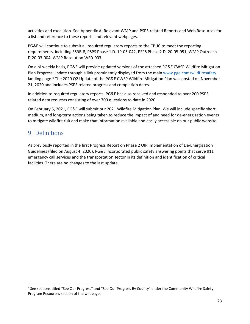activities and execution. See [Appendix A: Relevant WMP and PSPS-related Reports and Web Resources](#page-25-0) for a list and reference to these reports and relevant webpages.

PG&E will continue to submit all required regulatory reports to the CPUC to meet the reporting requirements, including ESRB-8, PSPS Phase 1 D. 19-05-042, PSPS Phase 2 D. 20-05-051, WMP Outreach D.20-03-004, WMP Resolution WSD-003.

On a bi-weekly basis, PG&E will provide updated versions of the attached PG&E CWSP Wildfire Mitigation Plan Progress Update through a link prominently displayed from the main [www.pge.com/wildfiresafety](http://www.pge.com/wildfiresafety) landing page.<sup>[9](#page-24-1)</sup> The 2020 Q2 Update of the PG&E CWSP Wildfire Mitigation Plan was posted on November 21, 2020 and includes PSPS related progress and completion dates.

In addition to required regulatory reports, PG&E has also received and responded to over 200 PSPS related data requests consisting of over 700 questions to date in 2020.

On February 5, 2021, PG&E will submit our 2021 Wildfire Mitigation Plan. We will include specific short, medium, and long-term actions being taken to reduce the impact of and need for de-energization events to mitigate wildfire risk and make that information available and easily accessible on our public website.

# <span id="page-24-0"></span>9. Definitions

As previously reported in the first Progress Report on Phase 2 OIR Implementation of De-Energization Guidelines (filed on August 4, 2020), PG&E incorporated public safety answering points that serve 911 emergency call services and the transportation sector in its definition and identification of critical facilities. There are no changes to the last update.

<span id="page-24-1"></span><sup>9</sup> See sections titled "See Our Progress" and "See Our Progress By County" under the Community Wildfire Safety Program Resources section of the webpage.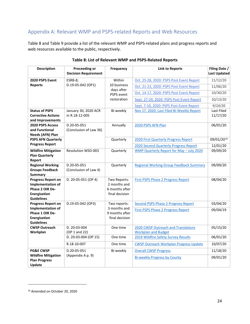## <span id="page-25-0"></span>Appendix A: Relevant WMP and PSPS-related Reports and Web Resources

[Table 8](#page-25-1) and Table 9 provide a list of the relevant WMP and PSPS-related plans and progress reports and web resources available to the public, respectively.

<span id="page-25-1"></span>

| <b>Description</b>                             | <b>Proceeding or</b><br><b>Decision Requirement</b> | <b>Frequency</b>             | <b>Link to Reports</b>                         | Filing Date /<br><b>Last Updated</b> |
|------------------------------------------------|-----------------------------------------------------|------------------------------|------------------------------------------------|--------------------------------------|
| 2020 PSPS Event                                | ESRB-8;                                             | Within                       | Oct. 25-28, 2020: PSPS Post Event Report       | 11/12/20                             |
| <b>Reports</b>                                 | D.19-05-042 (OP1)                                   | 10 business                  | Oct. 21-23, 2020: PSPS Post Event Report       | 11/06/20                             |
|                                                |                                                     | days after<br>PSPS event     | Oct. 14-17, 2020: PSPS Post Event Report       | 10/30/20                             |
|                                                |                                                     | restoration                  | Sept. 27-29, 2020: PSPS Post Event Report      | 10/13/20                             |
|                                                |                                                     |                              | Sept. 7-10, 2020: PSPS Post Event Report       | 9/24/20                              |
| <b>Status of PSPS</b>                          | January 30, 2020 ACR                                | Bi-weekly                    | Nov 17, 2020: Last Filed Bi-Weekly Report      | Last Filed                           |
| <b>Corrective Actions</b>                      | in R.18-12-005                                      |                              |                                                | 11/17/20                             |
| and Improvements                               |                                                     |                              |                                                |                                      |
| 2020 PSPS Access<br>and Functional             | D.20-05-051<br>(Conclusion of Law 36)               | Annually                     | 2020 PSPS AFN Plan                             | 06/01/20                             |
| Needs (AFN) Plan                               |                                                     |                              |                                                |                                      |
| <b>PSPS AFN Quarterly</b>                      |                                                     | Quarterly                    | 2020 First Quarterly Progress Report           | 09/01/2010                           |
| <b>Progress Report</b>                         |                                                     |                              | 2020 Second Quarterly Progress Report          | 12/01/20                             |
| <b>Wildfire Mitigation</b>                     | <b>Resolution WSD-003</b>                           | Quarterly                    | WMP Quarterly Report for May - July 2020       | 09/09/20                             |
| <b>Plan Quarterly</b>                          |                                                     |                              |                                                |                                      |
| Report                                         |                                                     |                              |                                                |                                      |
| <b>Regional Working</b>                        | D.20-05-051                                         | Quarterly                    | <b>Regional Working Group Feedback Summary</b> | 09/09/20                             |
| <b>Groups Feedback</b><br><b>Summary</b>       | (Conclusion of Law 4)                               |                              |                                                |                                      |
| <b>Progress Report on</b>                      | D. 20-05-051 (OP 4)                                 | Two Reports:                 | <b>First PSPS Phase 2 Progress Report</b>      | 08/04/20                             |
| Implementation of                              |                                                     | 2 months and                 |                                                |                                      |
| Phase 2 OIR De-                                |                                                     | 6 months after               |                                                |                                      |
| Energization                                   |                                                     | final decision               |                                                |                                      |
| <b>Guidelines</b>                              |                                                     |                              |                                                |                                      |
| <b>Progress Report on</b><br>Implementation of | D.19-05-042 (OP3)                                   | Two reports:<br>3 months and | Second PSPS Phase 2 Progress Report            | 03/04/20                             |
| Phase 1 OIR De-                                |                                                     | 9 months after               | <b>First PSPS Phase 2 Progress Report</b>      | 09/04/19                             |
| Energization                                   |                                                     | final decision               |                                                |                                      |
| <b>Guidelines</b>                              |                                                     |                              |                                                |                                      |
| <b>CWSP Outreach</b>                           | D. 20-03-004                                        | One time                     | 2020 CWSP Outreach and Translations            | 05/15/20                             |
| Workplan                                       | (OP 1 and 22)                                       |                              | <b>Workplan and Budget</b>                     |                                      |
|                                                | D. 20-03-004 (OP 15)                                | One time                     | 2019 Wildfire Safety Survey Results            | 06/01/20                             |
|                                                | R.18-10-007                                         | One time                     | <b>CWSP Outreach Workplan Progress Update</b>  | 10/07/20                             |
| <b>PG&amp;E CWSP</b>                           | D.20-05-051                                         | Bi-weekly                    | <b>Overall CWSP Progress</b>                   | 11/18/20                             |
| <b>Wildfire Mitigation</b>                     | (Appendix A p. 9)                                   |                              | <b>Bi-weekly Progress by County</b>            | 09/01/20                             |
| <b>Plan Progress</b>                           |                                                     |                              |                                                |                                      |
| Update                                         |                                                     |                              |                                                |                                      |

### **Table 8: List of Relevant WMP and PSPS-Related Reports**

<span id="page-25-2"></span><sup>10</sup> Amended on October 20, 2020